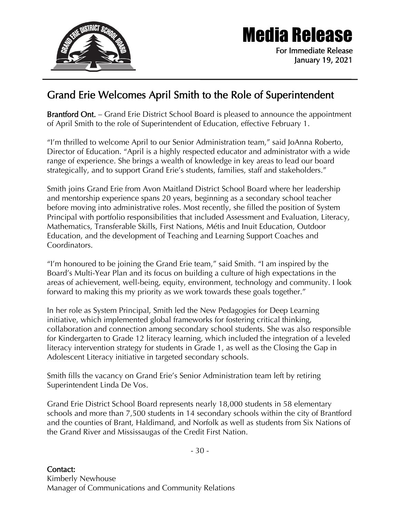

## Media Release

For Immediate Release January 19, 2021

## Grand Erie Welcomes April Smith to the Role of Superintendent

Brantford Ont. – Grand Erie District School Board is pleased to announce the appointment of April Smith to the role of Superintendent of Education, effective February 1.

"I'm thrilled to welcome April to our Senior Administration team," said JoAnna Roberto, Director of Education. "April is a highly respected educator and administrator with a wide range of experience. She brings a wealth of knowledge in key areas to lead our board strategically, and to support Grand Erie's students, families, staff and stakeholders."

Smith joins Grand Erie from Avon Maitland District School Board where her leadership and mentorship experience spans 20 years, beginning as a secondary school teacher before moving into administrative roles. Most recently, she filled the position of System Principal with portfolio responsibilities that included Assessment and Evaluation, Literacy, Mathematics, Transferable Skills, First Nations, Métis and Inuit Education, Outdoor Education, and the development of Teaching and Learning Support Coaches and Coordinators.

"I'm honoured to be joining the Grand Erie team," said Smith. "I am inspired by the Board's Multi-Year Plan and its focus on building a culture of high expectations in the areas of achievement, well-being, equity, environment, technology and community. I look forward to making this my priority as we work towards these goals together."

In her role as System Principal, Smith led the New Pedagogies for Deep Learning initiative, which implemented global frameworks for fostering critical thinking, collaboration and connection among secondary school students. She was also responsible for Kindergarten to Grade 12 literacy learning, which included the integration of a leveled literacy intervention strategy for students in Grade 1, as well as the Closing the Gap in Adolescent Literacy initiative in targeted secondary schools.

Smith fills the vacancy on Grand Erie's Senior Administration team left by retiring Superintendent Linda De Vos.

Grand Erie District School Board represents nearly 18,000 students in 58 elementary schools and more than 7,500 students in 14 secondary schools within the city of Brantford and the counties of Brant, Haldimand, and Norfolk as well as students from Six Nations of the Grand River and Mississaugas of the Credit First Nation.

- 30 -